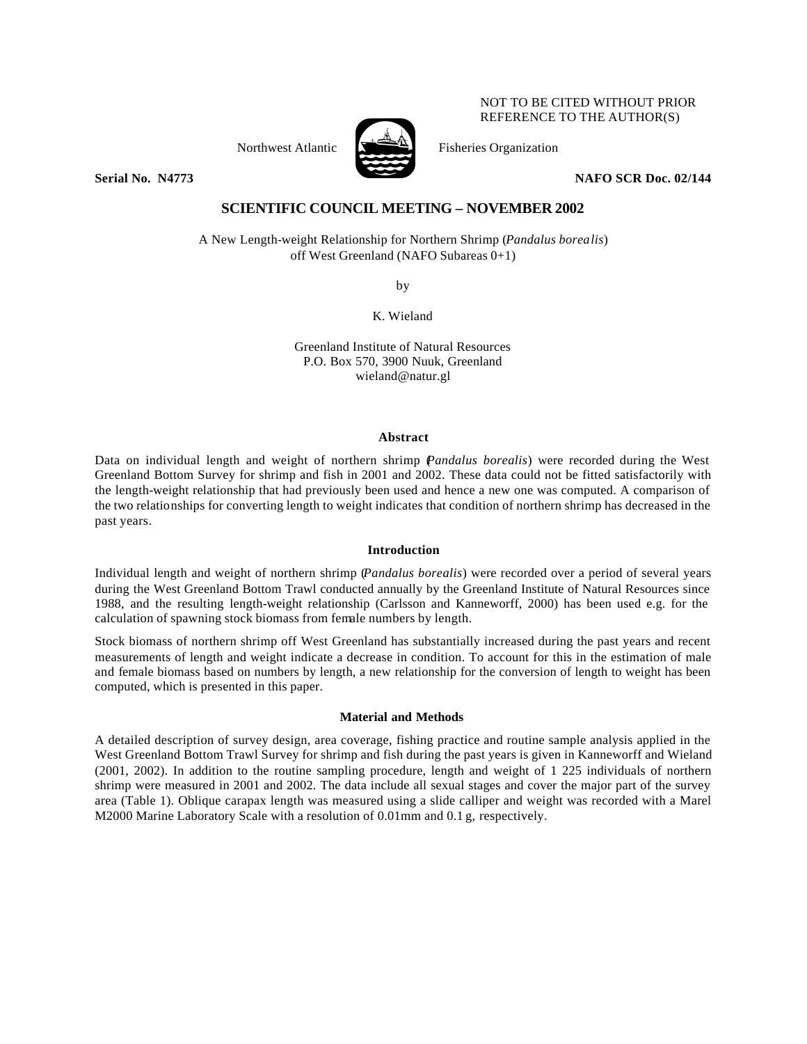

NOT TO BE CITED WITHOUT PRIOR REFERENCE TO THE AUTHOR(S)

Northwest Atlantic  $\sum_{n=1}^{\infty}$  Fisheries Organization

**Serial No. N4773 NAFO SCR Doc. 02/144**

# **SCIENTIFIC COUNCIL MEETING – NOVEMBER 2002**

A New Length-weight Relationship for Northern Shrimp (*Pandalus borealis*) off West Greenland (NAFO Subareas 0+1)

by

K. Wieland

Greenland Institute of Natural Resources P.O. Box 570, 3900 Nuuk, Greenland wieland@natur.gl

## **Abstract**

Data on individual length and weight of northern shrimp (*Pandalus borealis*) were recorded during the West Greenland Bottom Survey for shrimp and fish in 2001 and 2002. These data could not be fitted satisfactorily with the length-weight relationship that had previously been used and hence a new one was computed. A comparison of the two relationships for converting length to weight indicates that condition of northern shrimp has decreased in the past years.

# **Introduction**

Individual length and weight of northern shrimp (*Pandalus borealis*) were recorded over a period of several years during the West Greenland Bottom Trawl conducted annually by the Greenland Institute of Natural Resources since 1988, and the resulting length-weight relationship (Carlsson and Kanneworff, 2000) has been used e.g. for the calculation of spawning stock biomass from female numbers by length.

Stock biomass of northern shrimp off West Greenland has substantially increased during the past years and recent measurements of length and weight indicate a decrease in condition. To account for this in the estimation of male and female biomass based on numbers by length, a new relationship for the conversion of length to weight has been computed, which is presented in this paper.

# **Material and Methods**

A detailed description of survey design, area coverage, fishing practice and routine sample analysis applied in the West Greenland Bottom Trawl Survey for shrimp and fish during the past years is given in Kanneworff and Wieland (2001, 2002). In addition to the routine sampling procedure, length and weight of 1 225 individuals of northern shrimp were measured in 2001 and 2002. The data include all sexual stages and cover the major part of the survey area (Table 1). Oblique carapax length was measured using a slide calliper and weight was recorded with a Marel M2000 Marine Laboratory Scale with a resolution of 0.01mm and 0.1 g, respectively.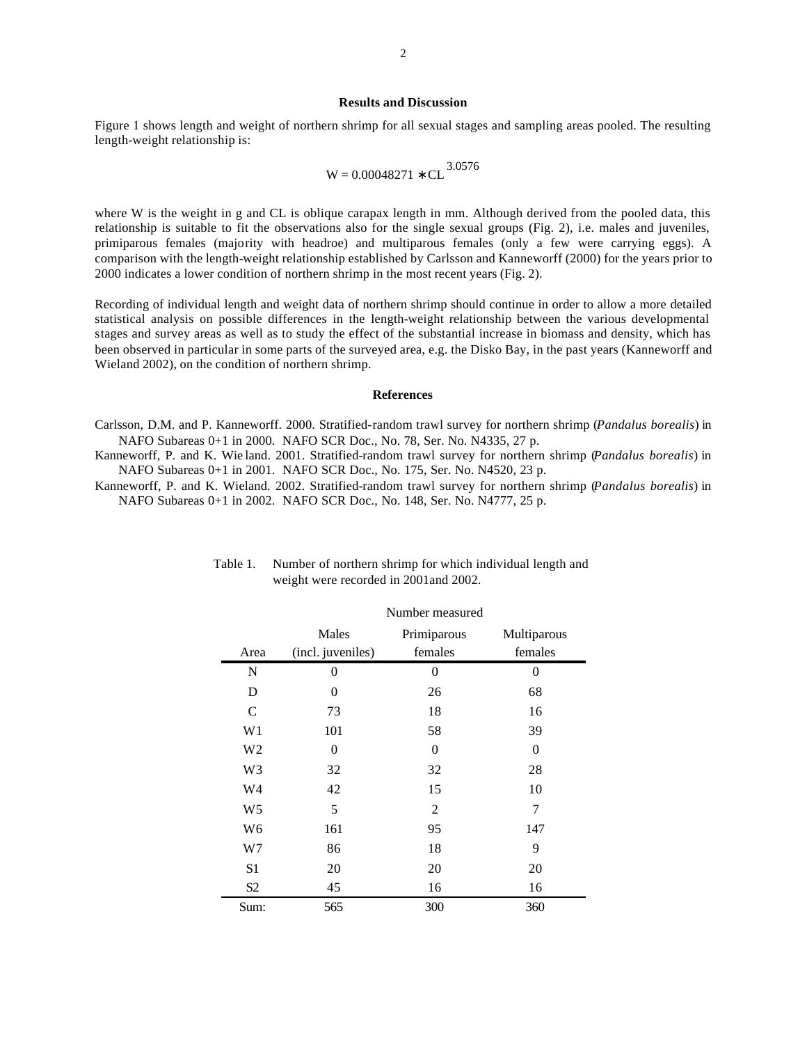#### **Results and Discussion**

Figure 1 shows length and weight of northern shrimp for all sexual stages and sampling areas pooled. The resulting length-weight relationship is:

$$
W=0.00048271 \ast CL^{3.0576}
$$

where W is the weight in g and CL is oblique carapax length in mm. Although derived from the pooled data, this relationship is suitable to fit the observations also for the single sexual groups (Fig. 2), i.e. males and juveniles, primiparous females (majority with headroe) and multiparous females (only a few were carrying eggs). A comparison with the length-weight relationship established by Carlsson and Kanneworff (2000) for the years prior to 2000 indicates a lower condition of northern shrimp in the most recent years (Fig. 2).

Recording of individual length and weight data of northern shrimp should continue in order to allow a more detailed statistical analysis on possible differences in the length-weight relationship between the various developmental stages and survey areas as well as to study the effect of the substantial increase in biomass and density, which has been observed in particular in some parts of the surveyed area, e.g. the Disko Bay, in the past years (Kanneworff and Wieland 2002), on the condition of northern shrimp.

#### **References**

Carlsson, D.M. and P. Kanneworff. 2000. Stratified-random trawl survey for northern shrimp (*Pandalus borealis*) in NAFO Subareas 0+1 in 2000. NAFO SCR Doc., No. 78, Ser. No. N4335, 27 p.

Kanneworff, P. and K. Wie land. 2001. Stratified-random trawl survey for northern shrimp (*Pandalus borealis*) in NAFO Subareas 0+1 in 2001. NAFO SCR Doc., No. 175, Ser. No. N4520, 23 p.

Kanneworff, P. and K. Wieland. 2002. Stratified-random trawl survey for northern shrimp (*Pandalus borealis*) in NAFO Subareas 0+1 in 2002. NAFO SCR Doc., No. 148, Ser. No. N4777, 25 p.

|                | TYUHIDUL IIIUASUITU        |                        |                        |
|----------------|----------------------------|------------------------|------------------------|
| Area           | Males<br>(incl. juveniles) | Primiparous<br>females | Multiparous<br>females |
| N              | 0                          | $\theta$               | 0                      |
| D              | 0                          | 26                     | 68                     |
| $\mathcal{C}$  | 73                         | 18                     | 16                     |
| W1             | 101                        | 58                     | 39                     |
| W <sub>2</sub> | $\theta$                   | $\overline{0}$         | 0                      |
| W3             | 32                         | 32                     | 28                     |
| W4             | 42                         | 15                     | 10                     |
| W <sub>5</sub> | 5                          | $\overline{2}$         | 7                      |
| W <sub>6</sub> | 161                        | 95                     | 147                    |
| W7             | 86                         | 18                     | 9                      |
| S1             | 20                         | 20                     | 20                     |
| S <sub>2</sub> | 45                         | 16                     | 16                     |
| Sum:           | 565                        | 300                    | 360                    |

## Table 1. Number of northern shrimp for which individual length and weight were recorded in 2001and 2002.

Number measured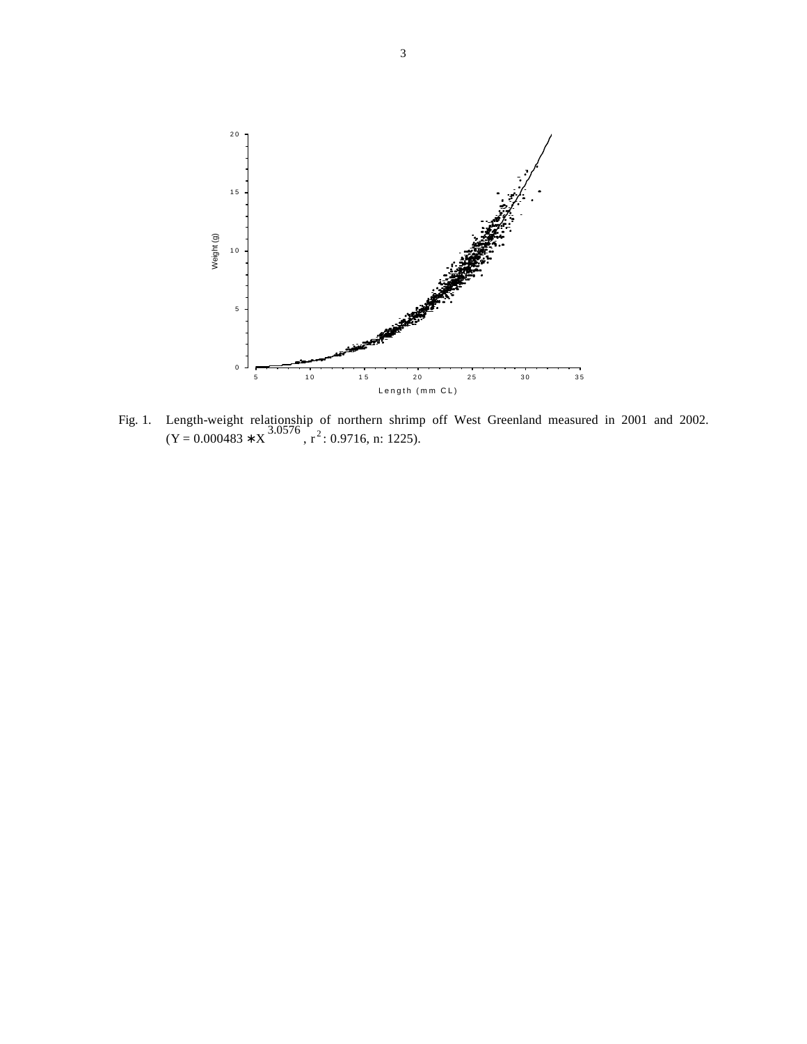

Fig. 1. Length-weight relationship of northern shrimp off West Greenland measured in 2001 and 2002.  $(Y = 0.000483 * X^{3.0576}$ ,  $r^2$ : 0.9716, n: 1225).